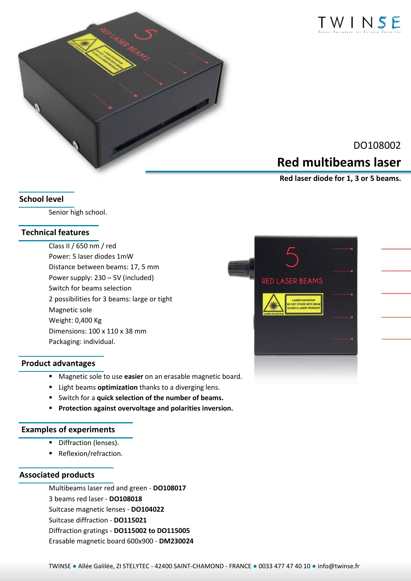



# DO108002 **Red multibeams laser**

 **Red laser diode for 1, 3 or 5 beams.**

### **School level**

Senior high school.

### **Technical features**

Class II / 650 nm / red Power: 5 laser diodes 1mW Distance between beams: 17, 5 mm Power supply: 230 – 5V (included) Switch for beams selection 2 possibilities for 3 beams: large or tight Magnetic sole Weight: 0,400 Kg Dimensions: 100 x 110 x 38 mm Packaging: individual.

### **Product advantages**

- Magnetic sole to use **easier** on an erasable magnetic board.
- Light beams **optimization** thanks to a diverging lens.
- Switch for a **quick selection of the number of beams.**
- **Protection against overvoltage and polarities inversion.**

### **Examples of experiments**

- **•** Diffraction (lenses).
- **Reflexion/refraction.**

#### **Associated products**

Multibeams laser red and green - **DO108017** 3 beams red laser - **DO108018** Suitcase magnetic lenses - **DO104022**  Suitcase diffraction - **DO115021** Diffraction gratings - **DO115002 to DO115005** Erasable magnetic board 600x900 - **DM230024**